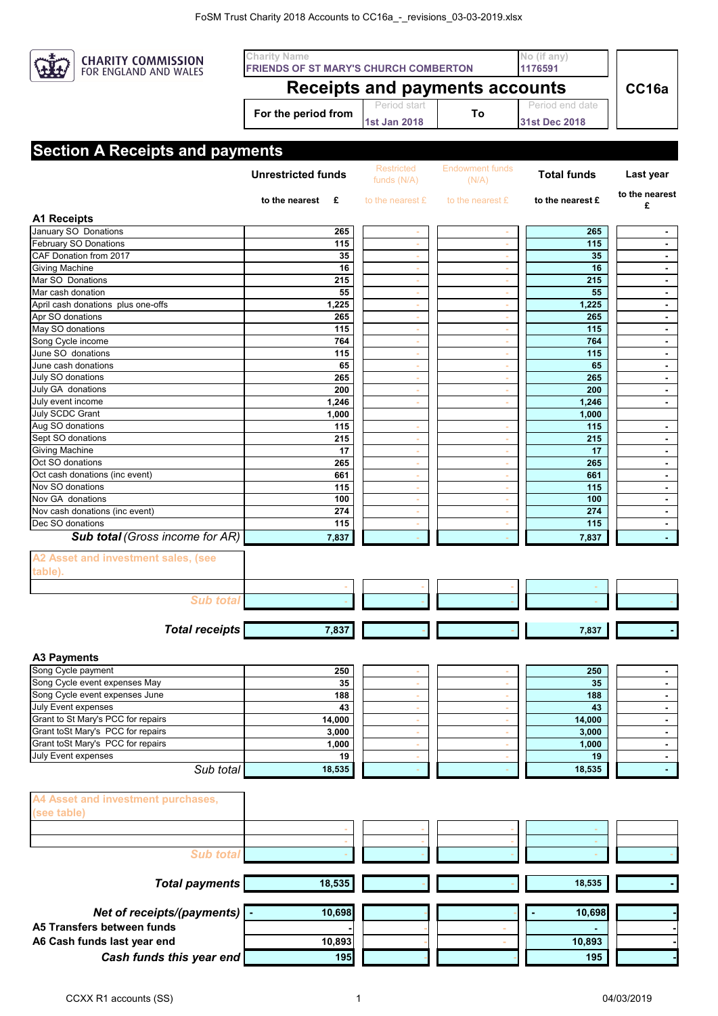

## Period start 1st Jan 2018 Period end date **For the period from To CC16a FRIENDS OF ST MARY'S CHURCH COMBERTON 1176591 1st Jan 2018 31st Dec 2018 Charity Name No (if any) Receipts and payments accounts**

## **Section A Pocoints and**

|                                                   | <b>Unrestricted funds</b> | <b>Restricted</b><br>funds (N/A) | <b>Endowment funds</b><br>(N/A) | <b>Total funds</b> | Last year                |
|---------------------------------------------------|---------------------------|----------------------------------|---------------------------------|--------------------|--------------------------|
|                                                   | to the nearest<br>£       | to the nearest £                 | to the nearest £                | to the nearest £   | to the nearest<br>£      |
| <b>A1 Receipts</b>                                |                           |                                  |                                 |                    |                          |
| January SO Donations                              | 265                       |                                  |                                 | 265                | $\blacksquare$           |
| February SO Donations                             | 115                       | $\overline{\phantom{a}}$         | $\sim$                          | 115                |                          |
| CAF Donation from 2017                            | 35                        | $\sim$                           | $\sim$                          | 35                 | $\blacksquare$           |
| <b>Giving Machine</b>                             | 16                        | $\sim$                           | $\sim$                          | 16                 | $\overline{\phantom{a}}$ |
| Mar SO Donations                                  | 215                       |                                  |                                 | 215                |                          |
| Mar cash donation                                 | 55                        | $\sim$                           | $\sim$                          | 55                 | $\blacksquare$           |
| April cash donations plus one-offs                | 1,225                     |                                  |                                 | 1,225              | $\overline{\phantom{a}}$ |
| Apr SO donations                                  | 265                       |                                  | ÷                               | 265                | $\blacksquare$           |
| May SO donations                                  | 115                       | $\sim$                           | $\sim$                          | 115                | $\overline{\phantom{a}}$ |
| Song Cycle income                                 | 764                       |                                  | $\sim$                          | 764                | $\blacksquare$           |
| June SO donations                                 | 115                       | $\sim$                           | $\sim$                          | 115                | $\blacksquare$           |
| June cash donations                               | 65                        | $\sim$                           | $\sim$                          | 65                 | $\blacksquare$           |
| July SO donations                                 | 265                       |                                  | ٠                               | 265                | $\blacksquare$           |
| July GA donations                                 | 200                       |                                  | $\sim$                          | 200                | $\blacksquare$           |
| July event income                                 | 1,246                     | ÷                                | $\sim$                          | 1,246              | $\blacksquare$           |
| July SCDC Grant                                   | 1,000                     |                                  |                                 |                    |                          |
|                                                   |                           |                                  |                                 | 1,000              |                          |
| Aug SO donations                                  | 115                       |                                  |                                 | 115                | $\blacksquare$           |
| Sept SO donations                                 | 215                       | $\sim$                           | $\sim$                          | 215                | $\blacksquare$           |
| <b>Giving Machine</b>                             | 17                        |                                  | $\overline{\phantom{a}}$        | 17                 | $\blacksquare$           |
| Oct SO donations                                  | 265                       |                                  | $\overline{\phantom{a}}$        | 265                | $\blacksquare$           |
| Oct cash donations (inc event)                    | 661                       | $\sim$                           | $\sim$                          | 661                | $\blacksquare$           |
| Nov SO donations                                  | 115                       | $\sim$                           | $\sim$                          | 115                | $\blacksquare$           |
| Nov GA donations                                  | 100                       |                                  |                                 | 100                | $\overline{\phantom{a}}$ |
| Nov cash donations (inc event)                    | 274                       |                                  |                                 | 274                | $\overline{\phantom{0}}$ |
| Dec SO donations                                  | 115                       |                                  |                                 | 115                | $\blacksquare$           |
| <b>Sub total (Gross income for AR)</b>            | 7,837                     |                                  |                                 | 7,837              |                          |
| A2 Asset and investment sales, (see<br>table).    |                           |                                  |                                 |                    |                          |
|                                                   |                           |                                  |                                 |                    |                          |
| <b>Sub total</b>                                  |                           |                                  |                                 |                    |                          |
| <b>Total receipts</b>                             | 7,837                     |                                  |                                 | 7,837              |                          |
|                                                   |                           |                                  |                                 |                    |                          |
| <b>A3 Payments</b>                                |                           |                                  |                                 |                    |                          |
| Song Cycle payment                                | 250                       |                                  |                                 | 250                |                          |
| Song Cycle event expenses May                     | 35                        |                                  |                                 | 35                 | $\blacksquare$           |
| Song Cycle event expenses June                    | 188                       |                                  |                                 | 188                |                          |
| July Event expenses                               | 43                        |                                  |                                 | 43                 | $\overline{\phantom{0}}$ |
| Grant to St Mary's PCC for repairs                | 14,000                    | $\sim$                           | $\sim$                          | 14,000             | $\blacksquare$           |
| Grant toSt Mary's PCC for repairs                 | 3,000                     |                                  |                                 | 3,000              | $\blacksquare$           |
| Grant toSt Mary's PCC for repairs                 | 1,000                     |                                  |                                 | 1,000              | $\blacksquare$           |
| July Event expenses                               | 19                        |                                  |                                 | 19                 | $\blacksquare$           |
| Sub total                                         | 18,535                    |                                  |                                 | 18,535             | $\sim$                   |
| A4 Asset and investment purchases,<br>(see table) |                           |                                  |                                 |                    |                          |
|                                                   |                           |                                  |                                 |                    |                          |
|                                                   |                           |                                  |                                 |                    |                          |
| <b>Sub total</b>                                  |                           |                                  |                                 |                    |                          |
| <b>Total payments</b>                             | 18,535                    |                                  |                                 | 18,535             |                          |
|                                                   |                           |                                  |                                 |                    |                          |
| Net of receipts/(payments)   -                    | 10,698                    |                                  |                                 | 10,698             |                          |
| A5 Transfers between funds                        |                           |                                  |                                 |                    |                          |
|                                                   |                           |                                  |                                 |                    |                          |
| A6 Cash funds last year end                       | 10,893                    |                                  |                                 | 10,893             |                          |
| Cash funds this year end                          | 195                       |                                  |                                 | 195                |                          |
|                                                   |                           |                                  |                                 |                    |                          |